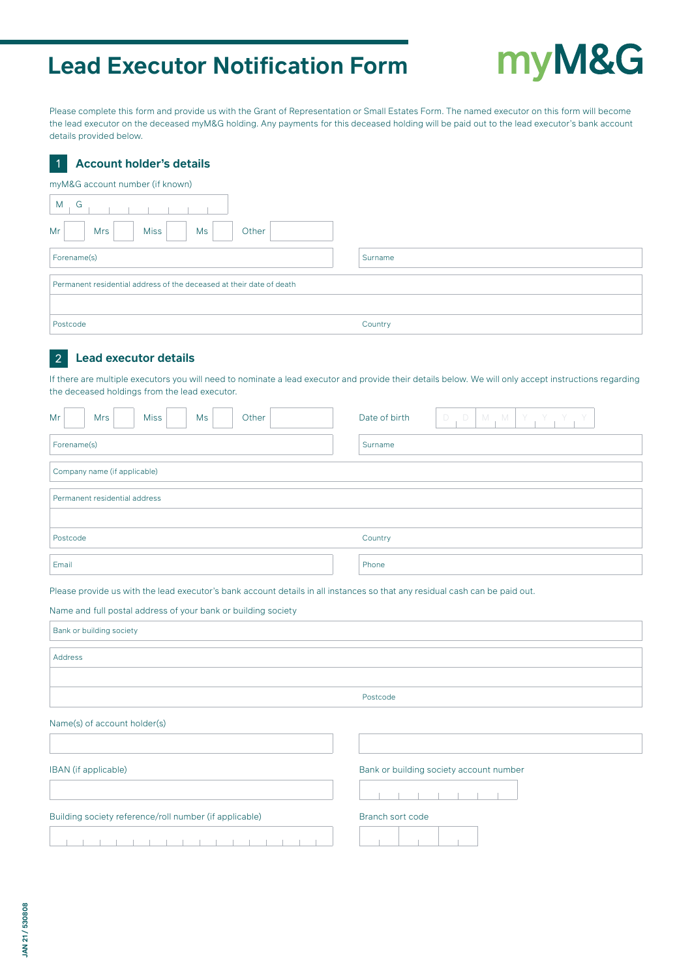# **Lead Executor Notification Form**

# myM&G

Please complete this form and provide us with the Grant of Representation or Small Estates Form. The named executor on this form will become the lead executor on the deceased myM&G holding. Any payments for this deceased holding will be paid out to the lead executor's bank account details provided below.

# **Account holder's details**

1

| - 11<br>Account noider 5 details                                     |         |  |  |  |  |  |  |
|----------------------------------------------------------------------|---------|--|--|--|--|--|--|
| myM&G account number (if known)                                      |         |  |  |  |  |  |  |
| G<br>M                                                               |         |  |  |  |  |  |  |
| <b>Miss</b><br>Mr<br><b>Mrs</b><br>Ms<br>Other                       |         |  |  |  |  |  |  |
| Forename(s)                                                          | Surname |  |  |  |  |  |  |
| Permanent residential address of the deceased at their date of death |         |  |  |  |  |  |  |
|                                                                      |         |  |  |  |  |  |  |
| Postcode                                                             | Country |  |  |  |  |  |  |

#### **Lead executor details** 2

If there are multiple executors you will need to nominate a lead executor and provide their details below. We will only accept instructions regarding ■ the deceased holdings from the lead executor.

| Mr                   |                                                                                                                                                                                                                          | <b>Mrs</b>                   |  | <b>Miss</b>                                            |  | Ms                                      |              | Other   |  |  | Date of birth    | $\Box$<br>$\Box$ |  | M, M |  | $Y$ , $Y$ , $Y$ |  | Y |  |
|----------------------|--------------------------------------------------------------------------------------------------------------------------------------------------------------------------------------------------------------------------|------------------------------|--|--------------------------------------------------------|--|-----------------------------------------|--------------|---------|--|--|------------------|------------------|--|------|--|-----------------|--|---|--|
| Forename(s)          |                                                                                                                                                                                                                          |                              |  |                                                        |  |                                         |              | Surname |  |  |                  |                  |  |      |  |                 |  |   |  |
|                      |                                                                                                                                                                                                                          | Company name (if applicable) |  |                                                        |  |                                         |              |         |  |  |                  |                  |  |      |  |                 |  |   |  |
|                      |                                                                                                                                                                                                                          |                              |  | Permanent residential address                          |  |                                         |              |         |  |  |                  |                  |  |      |  |                 |  |   |  |
|                      |                                                                                                                                                                                                                          |                              |  |                                                        |  |                                         |              |         |  |  |                  |                  |  |      |  |                 |  |   |  |
|                      | Postcode                                                                                                                                                                                                                 |                              |  |                                                        |  |                                         |              |         |  |  | Country          |                  |  |      |  |                 |  |   |  |
| Email                |                                                                                                                                                                                                                          |                              |  |                                                        |  |                                         | Phone        |         |  |  |                  |                  |  |      |  |                 |  |   |  |
|                      | Please provide us with the lead executor's bank account details in all instances so that any residual cash can be paid out.<br>Name and full postal address of your bank or building society<br>Bank or building society |                              |  |                                                        |  |                                         |              |         |  |  |                  |                  |  |      |  |                 |  |   |  |
|                      | Address                                                                                                                                                                                                                  |                              |  |                                                        |  |                                         |              |         |  |  |                  |                  |  |      |  |                 |  |   |  |
|                      |                                                                                                                                                                                                                          |                              |  |                                                        |  |                                         |              |         |  |  |                  |                  |  |      |  |                 |  |   |  |
|                      |                                                                                                                                                                                                                          |                              |  |                                                        |  |                                         |              |         |  |  | Postcode         |                  |  |      |  |                 |  |   |  |
|                      |                                                                                                                                                                                                                          |                              |  | Name(s) of account holder(s)                           |  |                                         |              |         |  |  |                  |                  |  |      |  |                 |  |   |  |
| IBAN (if applicable) |                                                                                                                                                                                                                          |                              |  |                                                        |  | Bank or building society account number |              |         |  |  |                  |                  |  |      |  |                 |  |   |  |
|                      |                                                                                                                                                                                                                          |                              |  | Building society reference/roll number (if applicable) |  |                                         |              |         |  |  | Branch sort code |                  |  |      |  |                 |  |   |  |
| .                    |                                                                                                                                                                                                                          |                              |  |                                                        |  |                                         | $\mathbb{R}$ |         |  |  |                  |                  |  |      |  |                 |  |   |  |

The contract of the contract of